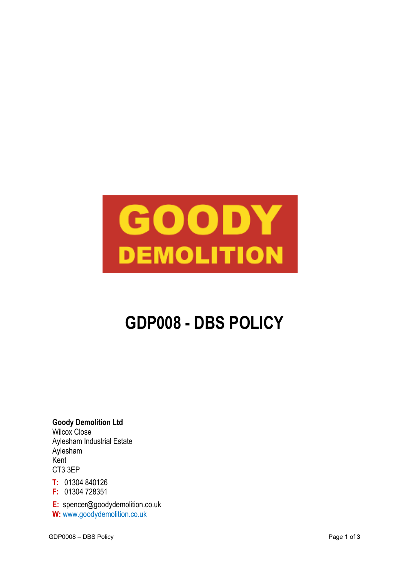# GOODY **DEMOLITION**

## **GDP008 - DBS POLICY**

**Goody Demolition Ltd** Wilcox Close Aylesham Industrial Estate Aylesham Kent CT3 3EP

**T:** 01304 840126

**F:** 01304 728351

**E:** spencer@goodydemolition.co.uk **W:** www.goodydemolition.co.uk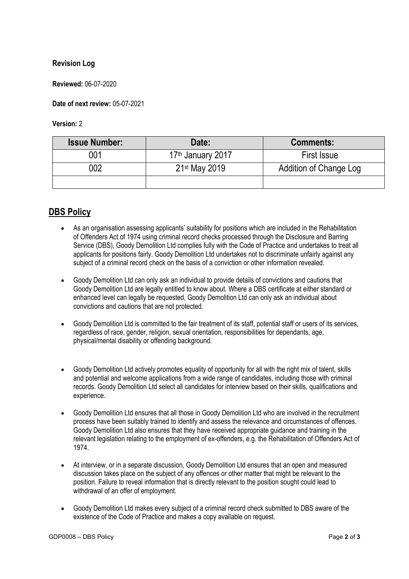#### **Revision Log**

**Reviewed:** 06-07-2020

**Date of next review:** 05-07-2021

**Version:** 2

| <b>Issue Number:</b> | Date:                         | <b>Comments:</b>       |
|----------------------|-------------------------------|------------------------|
| 001                  | 17 <sup>th</sup> January 2017 | First Issue            |
| 002                  | 21 <sup>st</sup> May 2019     | Addition of Change Log |
|                      |                               |                        |

### **DBS Policy**

- As an organisation assessing applicants' suitability for positions which are included in the Rehabilitation of Offenders Act of 1974 using criminal record checks processed through the Disclosure and Barring Service (DBS), Goody Demolition Ltd complies fully with the Code of Practice and undertakes to treat all applicants for positions fairly. Goody Demolition Ltd undertakes not to discriminate unfairly against any subject of a criminal record check on the basis of a conviction or other information revealed.
- Goody Demolition Ltd can only ask an individual to provide details of convictions and cautions that Goody Demolition Ltd are legally entitled to know about. Where a DBS certificate at either standard or enhanced level can legally be requested, Goody Demolition Ltd can only ask an individual about convictions and cautions that are not protected.
- Goody Demolition Ltd is committed to the fair treatment of its staff, potential staff or users of its services, regardless of race, gender, religion, sexual orientation, responsibilities for dependants, age, physical/mental disability or offending background.
- Goody Demolition Ltd actively promotes equality of opportunity for all with the right mix of talent, skills and potential and welcome applications from a wide range of candidates, including those with criminal records. Goody Demolition Ltd select all candidates for interview based on their skills, qualifications and experience.
- Goody Demolition Ltd ensures that all those in Goody Demolition Ltd who are involved in the recruitment process have been suitably trained to identify and assess the relevance and circumstances of offences. Goody Demolition Ltd also ensures that they have received appropriate guidance and training in the relevant legislation relating to the employment of ex-offenders, e.g. the Rehabilitation of Offenders Act of 1974.
- At interview, or in a separate discussion, Goody Demolition Ltd ensures that an open and measured discussion takes place on the subject of any offences or other matter that might be relevant to the position. Failure to reveal information that is directly relevant to the position sought could lead to withdrawal of an offer of employment.
- Goody Demolition Ltd makes every subject of a criminal record check submitted to DBS aware of the existence of the Code of Practice and makes a copy available on request.